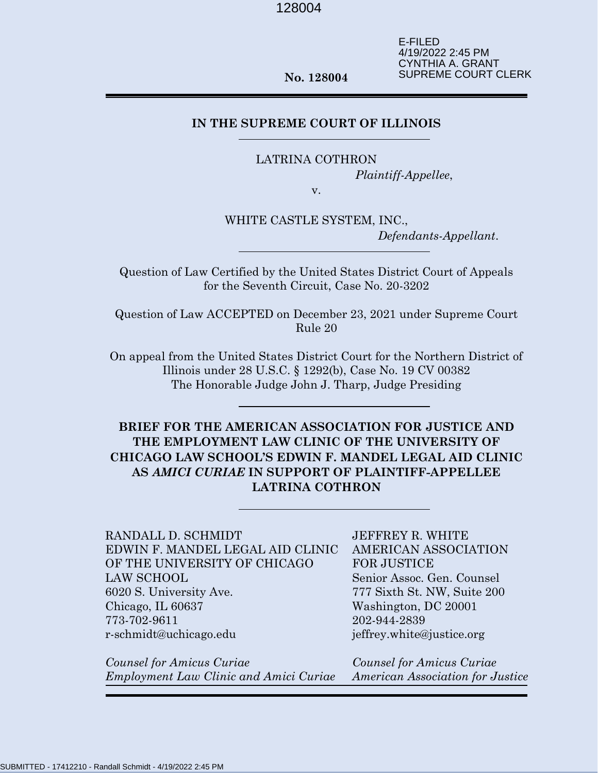E-FILED 4/19/2022 2:45 PM CYNTHIA A. GRANT SUPREME COURT CLERK

**No. 128004**

# **IN THE SUPREME COURT OF ILLINOIS**

LATRINA COTHRON

*Plaintiff-Appellee*,

v.

WHITE CASTLE SYSTEM, INC., *Defendants-Appellant*.

Question of Law Certified by the United States District Court of Appeals for the Seventh Circuit, Case No. 20-3202

Question of Law ACCEPTED on December 23, 2021 under Supreme Court Rule 20

On appeal from the United States District Court for the Northern District of Illinois under 28 U.S.C. § 1292(b), Case No. 19 CV 00382 The Honorable Judge John J. Tharp, Judge Presiding

**BRIEF FOR THE AMERICAN ASSOCIATION FOR JUSTICE AND THE EMPLOYMENT LAW CLINIC OF THE UNIVERSITY OF CHICAGO LAW SCHOOL'S EDWIN F. MANDEL LEGAL AID CLINIC AS** *AMICI CURIAE* **IN SUPPORT OF PLAINTIFF-APPELLEE LATRINA COTHRON**

RANDALL D. SCHMIDT EDWIN F. MANDEL LEGAL AID CLINIC OF THE UNIVERSITY OF CHICAGO LAW SCHOOL 6020 S. University Ave. Chicago, IL 60637 773-702-9611 r-schmidt@uchicago.edu

*Counsel for Amicus Curiae Employment Law Clinic and Amici Curiae*

JEFFREY R. WHITE AMERICAN ASSOCIATION FOR JUSTICE Senior Assoc. Gen. Counsel 777 Sixth St. NW, Suite 200 Washington, DC 20001 202-944-2839 jeffrey.white@justice.org

*Counsel for Amicus Curiae American Association for Justice*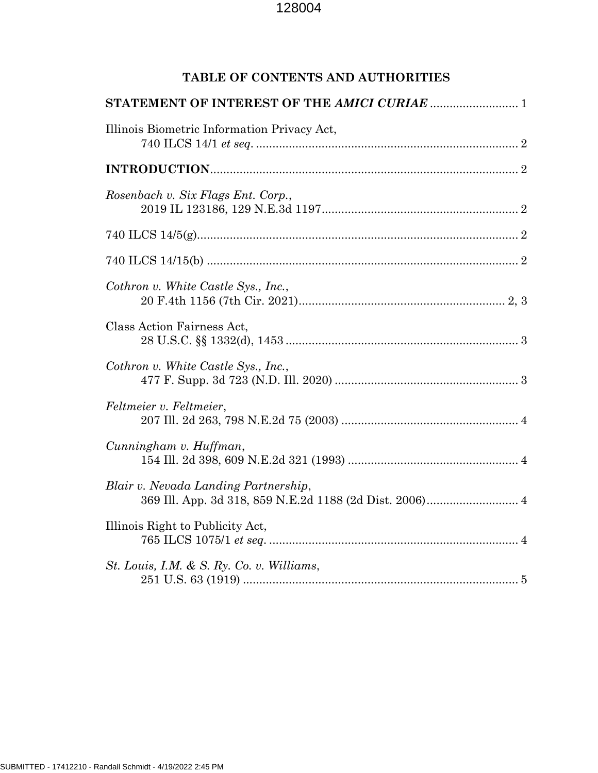# **TABLE OF CONTENTS AND AUTHORITIES**

| Illinois Biometric Information Privacy Act, |
|---------------------------------------------|
|                                             |
| Rosenbach v. Six Flags Ent. Corp.,          |
|                                             |
|                                             |
| Cothron v. White Castle Sys., Inc.,         |
| Class Action Fairness Act,                  |
| Cothron v. White Castle Sys., Inc.,         |
| Feltmeier v. Feltmeier,                     |
| Cunningham v. Huffman,                      |
| Blair v. Nevada Landing Partnership,        |
| Illinois Right to Publicity Act,            |
| St. Louis, I.M. & S. Ry. Co. v. Williams,   |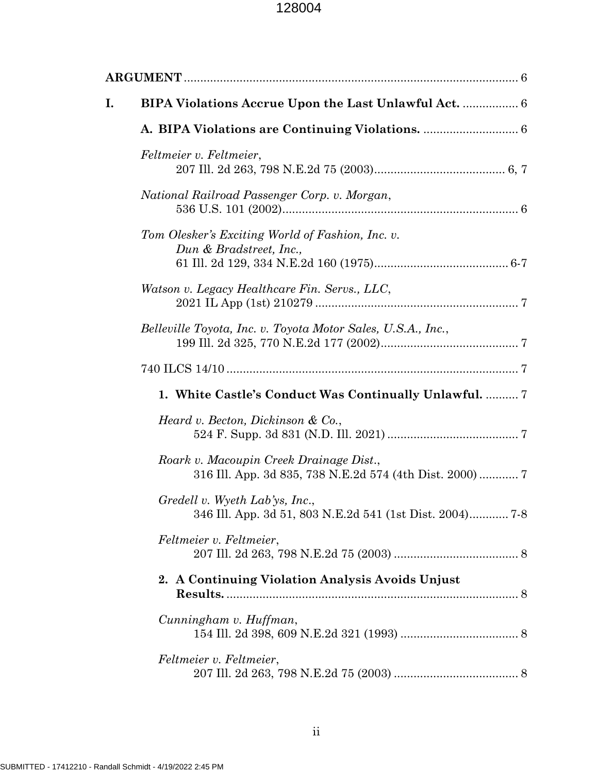| I. |                                                                                                    |  |  |  |  |
|----|----------------------------------------------------------------------------------------------------|--|--|--|--|
|    |                                                                                                    |  |  |  |  |
|    | Feltmeier v. Feltmeier,                                                                            |  |  |  |  |
|    | National Railroad Passenger Corp. v. Morgan,                                                       |  |  |  |  |
|    | Tom Olesker's Exciting World of Fashion, Inc. v.<br>Dun & Bradstreet, Inc.,                        |  |  |  |  |
|    | Watson v. Legacy Healthcare Fin. Servs., LLC,                                                      |  |  |  |  |
|    | Belleville Toyota, Inc. v. Toyota Motor Sales, U.S.A., Inc.,                                       |  |  |  |  |
|    |                                                                                                    |  |  |  |  |
|    | 1. White Castle's Conduct Was Continually Unlawful.  7                                             |  |  |  |  |
|    | Heard v. Becton, Dickinson & Co.,                                                                  |  |  |  |  |
|    | Roark v. Macoupin Creek Drainage Dist.,<br>316 Ill. App. 3d 835, 738 N.E.2d 574 (4th Dist. 2000) 7 |  |  |  |  |
|    | Gredell v. Wyeth Lab'ys, Inc.,<br>346 Ill. App. 3d 51, 803 N.E.2d 541 (1st Dist. 2004) 7-8         |  |  |  |  |
|    | Feltmeier v. Feltmeier,                                                                            |  |  |  |  |
|    | 2. A Continuing Violation Analysis Avoids Unjust                                                   |  |  |  |  |
|    | Cunningham v. Huffman,                                                                             |  |  |  |  |
|    | Feltmeier v. Feltmeier,                                                                            |  |  |  |  |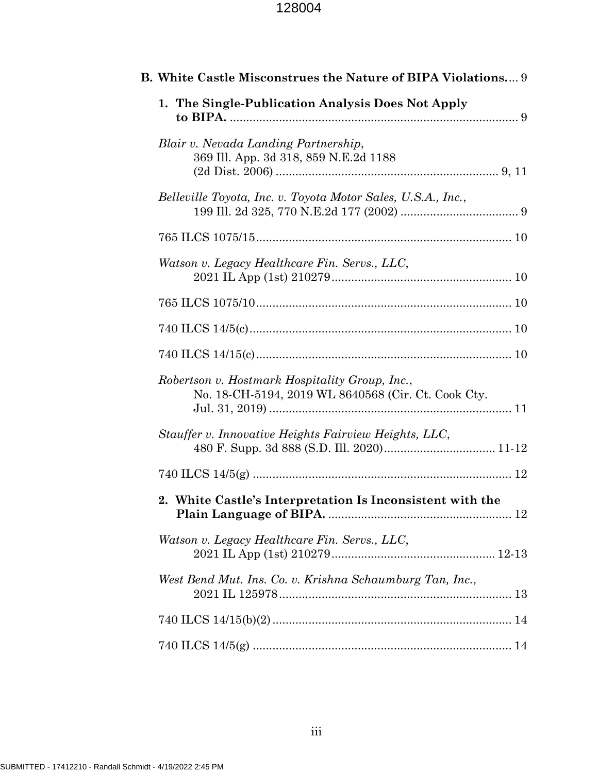| B. White Castle Misconstrues the Nature of BIPA Violations 9                                          |  |
|-------------------------------------------------------------------------------------------------------|--|
| 1. The Single-Publication Analysis Does Not Apply                                                     |  |
| Blair v. Nevada Landing Partnership,<br>369 Ill. App. 3d 318, 859 N.E.2d 1188                         |  |
| Belleville Toyota, Inc. v. Toyota Motor Sales, U.S.A., Inc.,                                          |  |
|                                                                                                       |  |
| Watson v. Legacy Healthcare Fin. Servs., LLC,                                                         |  |
|                                                                                                       |  |
|                                                                                                       |  |
|                                                                                                       |  |
| Robertson v. Hostmark Hospitality Group, Inc.,<br>No. 18-CH-5194, 2019 WL 8640568 (Cir. Ct. Cook Cty. |  |
| Stauffer v. Innovative Heights Fairview Heights, LLC,                                                 |  |
|                                                                                                       |  |
| 2. White Castle's Interpretation Is Inconsistent with the                                             |  |
| Watson v. Legacy Healthcare Fin. Servs., LLC,                                                         |  |
| West Bend Mut. Ins. Co. v. Krishna Schaumburg Tan, Inc.,                                              |  |
|                                                                                                       |  |
|                                                                                                       |  |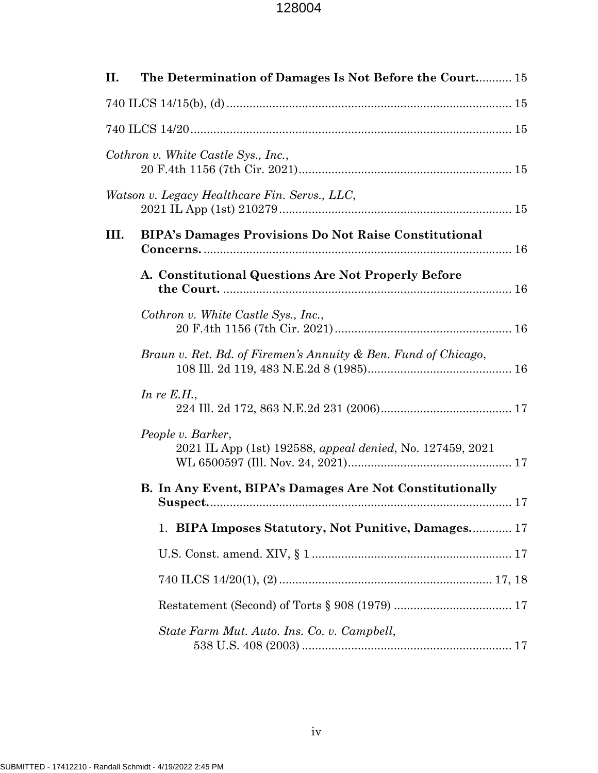| П.   | The Determination of Damages Is Not Before the Court 15                        |  |
|------|--------------------------------------------------------------------------------|--|
|      |                                                                                |  |
|      |                                                                                |  |
|      | Cothron v. White Castle Sys., Inc.,                                            |  |
|      | Watson v. Legacy Healthcare Fin. Servs., LLC,                                  |  |
| III. | <b>BIPA's Damages Provisions Do Not Raise Constitutional</b>                   |  |
|      | A. Constitutional Questions Are Not Properly Before                            |  |
|      | Cothron v. White Castle Sys., Inc.,                                            |  |
|      | Braun v. Ret. Bd. of Firemen's Annuity & Ben. Fund of Chicago,                 |  |
|      | In re $E.H.,$                                                                  |  |
|      | People v. Barker,<br>2021 IL App (1st) 192588, appeal denied, No. 127459, 2021 |  |
|      | B. In Any Event, BIPA's Damages Are Not Constitutionally                       |  |
|      | 1. BIPA Imposes Statutory, Not Punitive, Damages 17                            |  |
|      |                                                                                |  |
|      |                                                                                |  |
|      |                                                                                |  |
|      | State Farm Mut. Auto. Ins. Co. v. Campbell,                                    |  |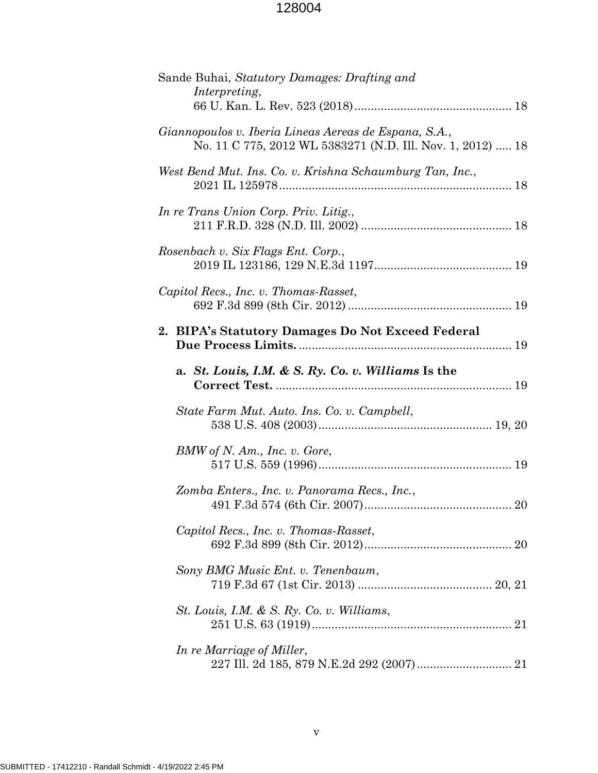| Sande Buhai, Statutory Damages: Drafting and<br>Interpreting,                                                       |
|---------------------------------------------------------------------------------------------------------------------|
| Giannopoulos v. Iberia Lineas Aereas de Espana, S.A.,<br>No. 11 C 775, 2012 WL 5383271 (N.D. Ill. Nov. 1, 2012)  18 |
| West Bend Mut. Ins. Co. v. Krishna Schaumburg Tan, Inc.,                                                            |
| In re Trans Union Corp. Priv. Litig.,                                                                               |
| Rosenbach v. Six Flags Ent. Corp.,                                                                                  |
| Capitol Recs., Inc. v. Thomas-Rasset,                                                                               |
| 2. BIPA's Statutory Damages Do Not Exceed Federal                                                                   |
| a. St. Louis, I.M. & S. Ry. Co. v. Williams Is the                                                                  |
| State Farm Mut. Auto. Ins. Co. v. Campbell,                                                                         |
| BMW of N. Am., Inc. v. Gore,                                                                                        |
| Zomba Enters., Inc. v. Panorama Recs., Inc.,                                                                        |
| Capitol Recs., Inc. v. Thomas-Rasset,                                                                               |
| Sony BMG Music Ent. v. Tenenbaum,                                                                                   |
| St. Louis, I.M. & S. Ry. Co. v. Williams,                                                                           |
| In re Marriage of Miller,                                                                                           |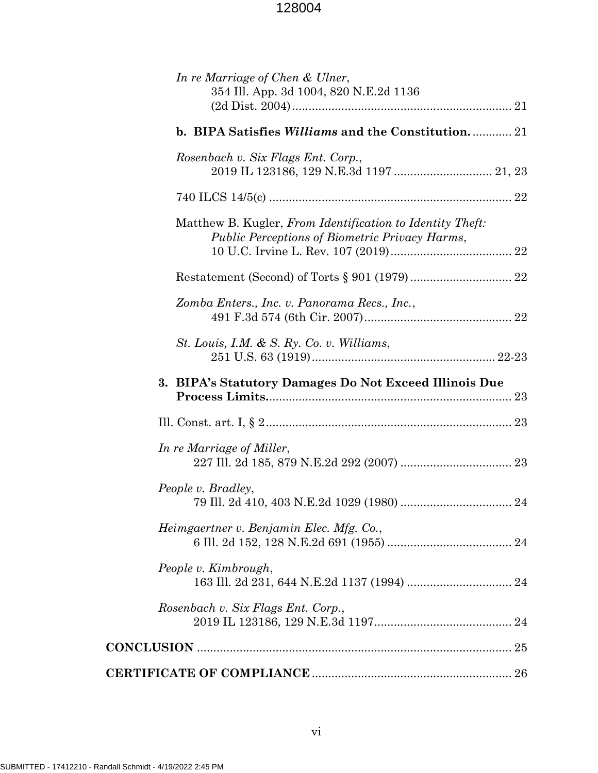| In re Marriage of Chen & Ulner,<br>354 Ill. App. 3d 1004, 820 N.E.2d 1136                                          |  |
|--------------------------------------------------------------------------------------------------------------------|--|
| b. BIPA Satisfies <i>Williams</i> and the Constitution 21                                                          |  |
| Rosenbach v. Six Flags Ent. Corp.,                                                                                 |  |
|                                                                                                                    |  |
| Matthew B. Kugler, From Identification to Identity Theft:<br><b>Public Perceptions of Biometric Privacy Harms,</b> |  |
|                                                                                                                    |  |
| Zomba Enters., Inc. v. Panorama Recs., Inc.,                                                                       |  |
| St. Louis, I.M. & S. Ry. Co. v. Williams,                                                                          |  |
| 3. BIPA's Statutory Damages Do Not Exceed Illinois Due                                                             |  |
|                                                                                                                    |  |
| In re Marriage of Miller,                                                                                          |  |
| People v. Bradley,                                                                                                 |  |
| Heimgaertner v. Benjamin Elec. Mfg. Co.,                                                                           |  |
| People v. Kimbrough,                                                                                               |  |
| Rosenbach v. Six Flags Ent. Corp.,                                                                                 |  |
|                                                                                                                    |  |
|                                                                                                                    |  |
|                                                                                                                    |  |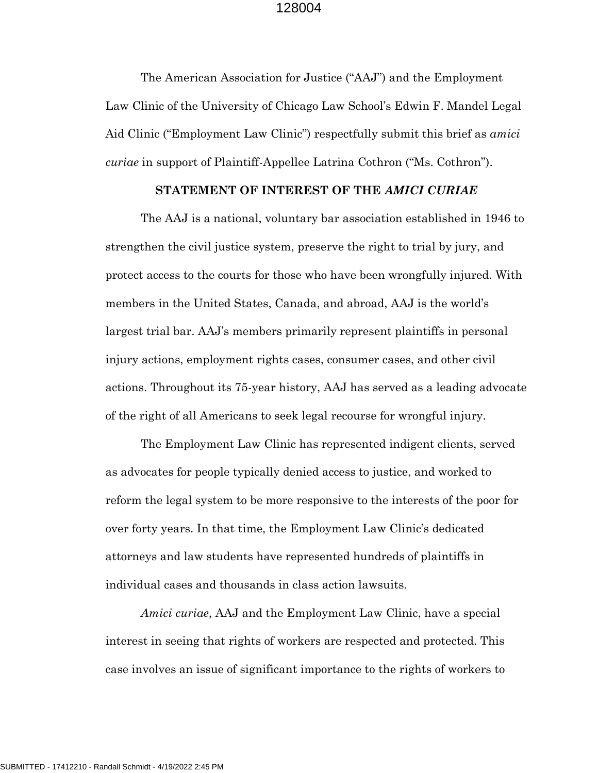The American Association for Justice ("AAJ") and the Employment Law Clinic of the University of Chicago Law School's Edwin F. Mandel Legal Aid Clinic ("Employment Law Clinic") respectfully submit this brief as *amici curiae* in support of Plaintiff-Appellee Latrina Cothron ("Ms. Cothron").

#### **STATEMENT OF INTEREST OF THE** *AMICI CURIAE*

The AAJ is a national, voluntary bar association established in 1946 to strengthen the civil justice system, preserve the right to trial by jury, and protect access to the courts for those who have been wrongfully injured. With members in the United States, Canada, and abroad, AAJ is the world's largest trial bar. AAJ's members primarily represent plaintiffs in personal injury actions, employment rights cases, consumer cases, and other civil actions. Throughout its 75-year history, AAJ has served as a leading advocate of the right of all Americans to seek legal recourse for wrongful injury.

The Employment Law Clinic has represented indigent clients, served as advocates for people typically denied access to justice, and worked to reform the legal system to be more responsive to the interests of the poor for over forty years. In that time, the Employment Law Clinic's dedicated attorneys and law students have represented hundreds of plaintiffs in individual cases and thousands in class action lawsuits.

*Amici curiae*, AAJ and the Employment Law Clinic, have a special interest in seeing that rights of workers are respected and protected. This case involves an issue of significant importance to the rights of workers to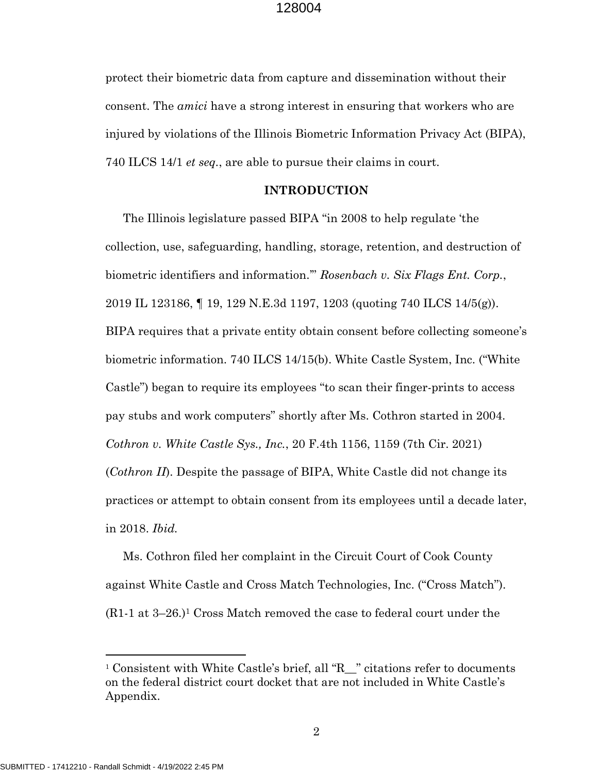protect their biometric data from capture and dissemination without their consent. The *amici* have a strong interest in ensuring that workers who are injured by violations of the Illinois Biometric Information Privacy Act (BIPA), 740 ILCS 14/1 *et seq.*, are able to pursue their claims in court.

#### **INTRODUCTION**

The Illinois legislature passed BIPA "in 2008 to help regulate 'the collection, use, safeguarding, handling, storage, retention, and destruction of biometric identifiers and information.'" *Rosenbach v. Six Flags Ent. Corp.*, 2019 IL 123186, ¶ 19, 129 N.E.3d 1197, 1203 (quoting 740 ILCS 14/5(g)). BIPA requires that a private entity obtain consent before collecting someone's biometric information. 740 ILCS 14/15(b). White Castle System, Inc. ("White Castle") began to require its employees "to scan their finger-prints to access pay stubs and work computers" shortly after Ms. Cothron started in 2004. *Cothron v. White Castle Sys., Inc.*, 20 F.4th 1156, 1159 (7th Cir. 2021) (*Cothron II*). Despite the passage of BIPA, White Castle did not change its practices or attempt to obtain consent from its employees until a decade later, in 2018. *Ibid.*

Ms. Cothron filed her complaint in the Circuit Court of Cook County against White Castle and Cross Match Technologies, Inc. ("Cross Match").  $(R1-1$  at  $3-26.$ <sup>1</sup> Cross Match removed the case to federal court under the

 $\overline{a}$ 

<sup>&</sup>lt;sup>1</sup> Consistent with White Castle's brief, all "R\_\_" citations refer to documents on the federal district court docket that are not included in White Castle's Appendix.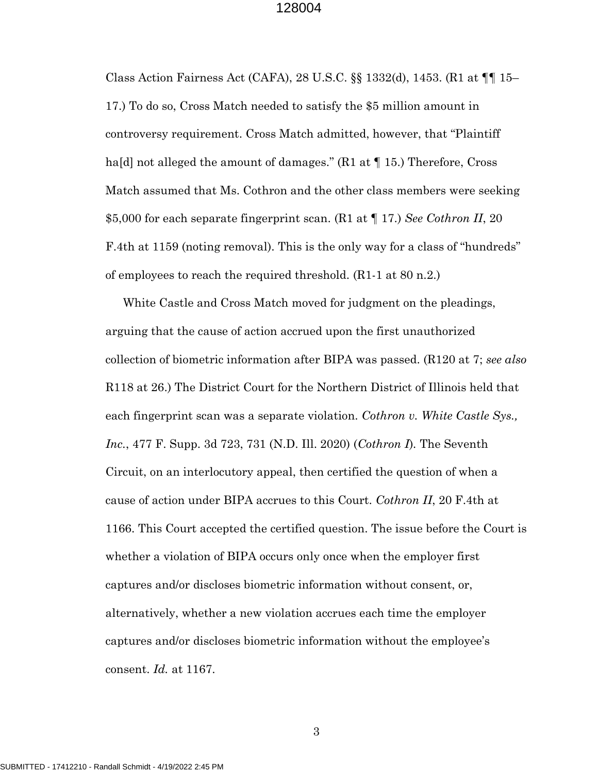Class Action Fairness Act (CAFA), 28 U.S.C. §§ 1332(d), 1453. (R1 at ¶¶ 15– 17.) To do so, Cross Match needed to satisfy the \$5 million amount in controversy requirement. Cross Match admitted, however, that "Plaintiff ha[d] not alleged the amount of damages."  $(R1$  at  $\P$  15.) Therefore, Cross Match assumed that Ms. Cothron and the other class members were seeking \$5,000 for each separate fingerprint scan. (R1 at ¶ 17.) *See Cothron II*, 20 F.4th at 1159 (noting removal). This is the only way for a class of "hundreds" of employees to reach the required threshold. (R1-1 at 80 n.2.)

White Castle and Cross Match moved for judgment on the pleadings, arguing that the cause of action accrued upon the first unauthorized collection of biometric information after BIPA was passed. (R120 at 7; *see also* R118 at 26.) The District Court for the Northern District of Illinois held that each fingerprint scan was a separate violation. *Cothron v. White Castle Sys., Inc.*, 477 F. Supp. 3d 723, 731 (N.D. Ill. 2020) (*Cothron I*)*.* The Seventh Circuit, on an interlocutory appeal, then certified the question of when a cause of action under BIPA accrues to this Court. *Cothron II*, 20 F.4th at 1166. This Court accepted the certified question. The issue before the Court is whether a violation of BIPA occurs only once when the employer first captures and/or discloses biometric information without consent, or, alternatively, whether a new violation accrues each time the employer captures and/or discloses biometric information without the employee's consent. *Id.* at 1167.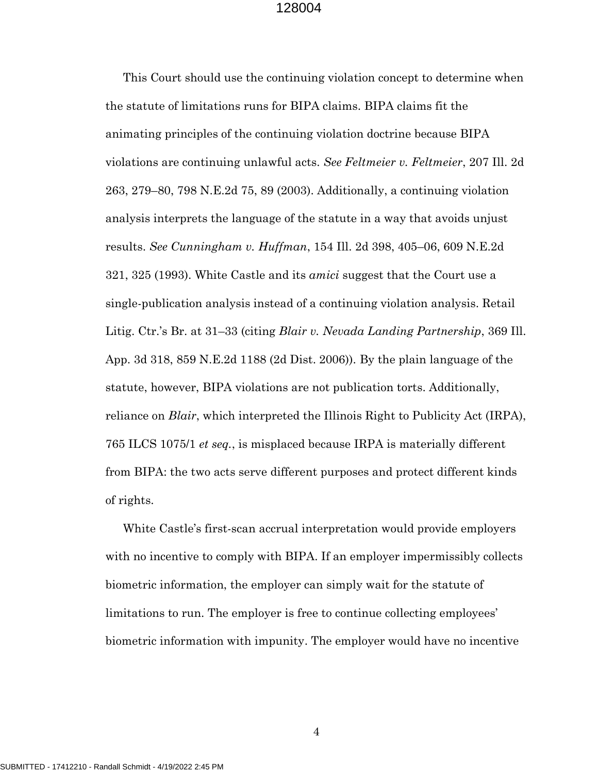This Court should use the continuing violation concept to determine when the statute of limitations runs for BIPA claims. BIPA claims fit the animating principles of the continuing violation doctrine because BIPA violations are continuing unlawful acts. *See Feltmeier v. Feltmeier*, 207 Ill. 2d 263, 279–80, 798 N.E.2d 75, 89 (2003). Additionally, a continuing violation analysis interprets the language of the statute in a way that avoids unjust results. *See Cunningham v. Huffman*, 154 Ill. 2d 398, 405–06, 609 N.E.2d 321, 325 (1993). White Castle and its *amici* suggest that the Court use a single-publication analysis instead of a continuing violation analysis. Retail Litig. Ctr.'s Br. at 31–33 (citing *Blair v. Nevada Landing Partnership*, 369 Ill. App. 3d 318, 859 N.E.2d 1188 (2d Dist. 2006)). By the plain language of the statute, however, BIPA violations are not publication torts. Additionally, reliance on *Blair*, which interpreted the Illinois Right to Publicity Act (IRPA), 765 ILCS 1075/1 *et seq.*, is misplaced because IRPA is materially different from BIPA: the two acts serve different purposes and protect different kinds of rights.

White Castle's first-scan accrual interpretation would provide employers with no incentive to comply with BIPA. If an employer impermissibly collects biometric information, the employer can simply wait for the statute of limitations to run. The employer is free to continue collecting employees' biometric information with impunity. The employer would have no incentive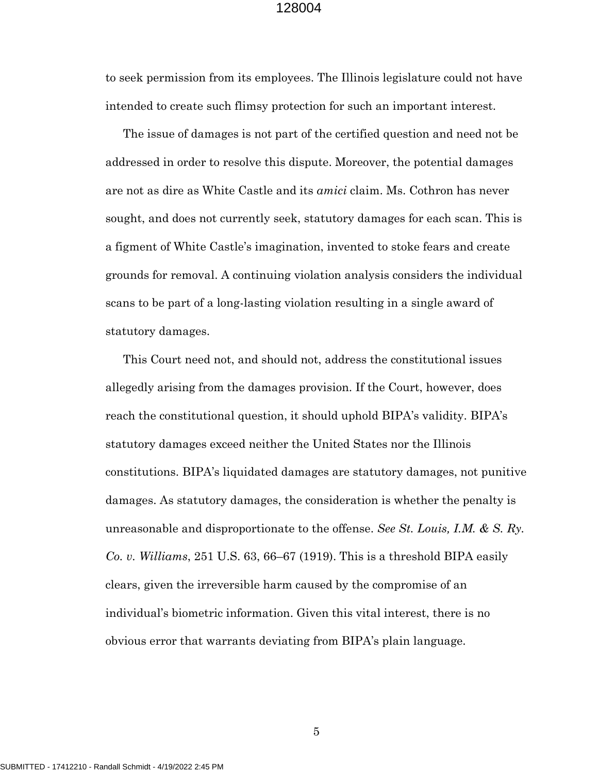to seek permission from its employees. The Illinois legislature could not have intended to create such flimsy protection for such an important interest.

The issue of damages is not part of the certified question and need not be addressed in order to resolve this dispute. Moreover, the potential damages are not as dire as White Castle and its *amici* claim. Ms. Cothron has never sought, and does not currently seek, statutory damages for each scan. This is a figment of White Castle's imagination, invented to stoke fears and create grounds for removal. A continuing violation analysis considers the individual scans to be part of a long-lasting violation resulting in a single award of statutory damages.

This Court need not, and should not, address the constitutional issues allegedly arising from the damages provision. If the Court, however, does reach the constitutional question, it should uphold BIPA's validity. BIPA's statutory damages exceed neither the United States nor the Illinois constitutions. BIPA's liquidated damages are statutory damages, not punitive damages. As statutory damages, the consideration is whether the penalty is unreasonable and disproportionate to the offense. *See St. Louis, I.M. & S. Ry. Co. v. Williams*, 251 U.S. 63, 66–67 (1919). This is a threshold BIPA easily clears, given the irreversible harm caused by the compromise of an individual's biometric information. Given this vital interest, there is no obvious error that warrants deviating from BIPA's plain language.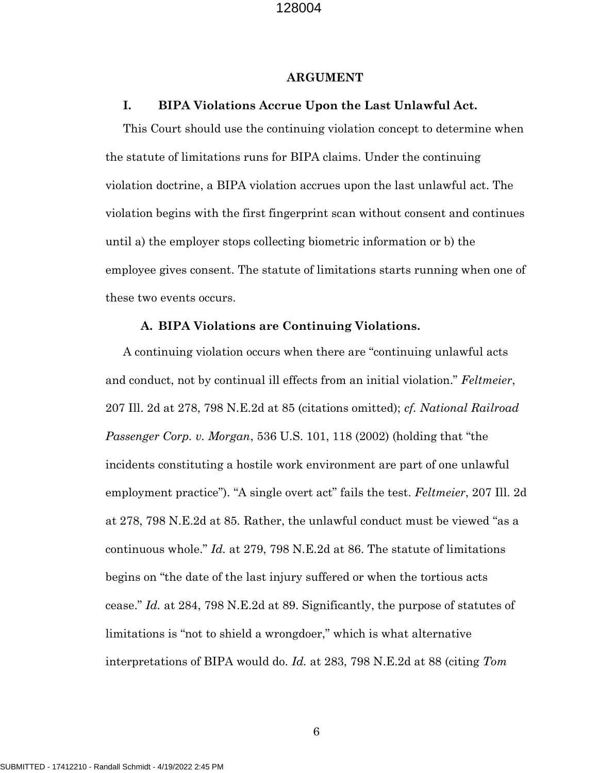#### **ARGUMENT**

#### **I. BIPA Violations Accrue Upon the Last Unlawful Act.**

This Court should use the continuing violation concept to determine when the statute of limitations runs for BIPA claims. Under the continuing violation doctrine, a BIPA violation accrues upon the last unlawful act. The violation begins with the first fingerprint scan without consent and continues until a) the employer stops collecting biometric information or b) the employee gives consent. The statute of limitations starts running when one of these two events occurs.

#### **A. BIPA Violations are Continuing Violations.**

A continuing violation occurs when there are "continuing unlawful acts and conduct, not by continual ill effects from an initial violation." *Feltmeier*, 207 Ill. 2d at 278, 798 N.E.2d at 85 (citations omitted); *cf. National Railroad Passenger Corp. v. Morgan*, 536 U.S. 101, 118 (2002) (holding that "the incidents constituting a hostile work environment are part of one unlawful employment practice"). "A single overt act" fails the test. *Feltmeier*, 207 Ill. 2d at 278, 798 N.E.2d at 85*.* Rather, the unlawful conduct must be viewed "as a continuous whole." *Id.* at 279, 798 N.E.2d at 86. The statute of limitations begins on "the date of the last injury suffered or when the tortious acts cease." *Id.* at 284, 798 N.E.2d at 89. Significantly, the purpose of statutes of limitations is "not to shield a wrongdoer," which is what alternative interpretations of BIPA would do. *Id.* at 283, 798 N.E.2d at 88 (citing *Tom*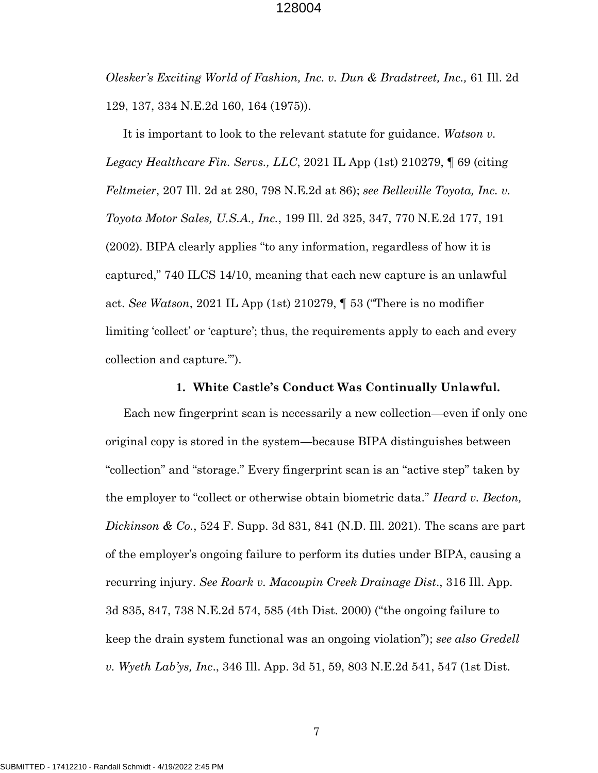*Olesker's Exciting World of Fashion, Inc. v. Dun & Bradstreet, Inc.,* 61 Ill. 2d 129, 137, 334 N.E.2d 160, 164 (1975)).

It is important to look to the relevant statute for guidance. *Watson v. Legacy Healthcare Fin. Servs., LLC*, 2021 IL App (1st) 210279, ¶ 69 (citing *Feltmeier*, 207 Ill. 2d at 280, 798 N.E.2d at 86); *see Belleville Toyota, Inc. v. Toyota Motor Sales, U.S.A., Inc.*, 199 Ill. 2d 325, 347, 770 N.E.2d 177, 191 (2002). BIPA clearly applies "to any information, regardless of how it is captured," 740 ILCS 14/10, meaning that each new capture is an unlawful act. *See Watson*, 2021 IL App (1st) 210279, ¶ 53 ("There is no modifier limiting 'collect' or 'capture'; thus, the requirements apply to each and every collection and capture.'").

#### **1. White Castle's Conduct Was Continually Unlawful.**

Each new fingerprint scan is necessarily a new collection—even if only one original copy is stored in the system—because BIPA distinguishes between "collection" and "storage." Every fingerprint scan is an "active step" taken by the employer to "collect or otherwise obtain biometric data." *Heard v. Becton, Dickinson & Co.*, 524 F. Supp. 3d 831, 841 (N.D. Ill. 2021). The scans are part of the employer's ongoing failure to perform its duties under BIPA, causing a recurring injury. *See Roark v. Macoupin Creek Drainage Dist*., 316 Ill. App. 3d 835, 847, 738 N.E.2d 574, 585 (4th Dist. 2000) ("the ongoing failure to keep the drain system functional was an ongoing violation"); *see also Gredell v. Wyeth Lab'ys, Inc*., 346 Ill. App. 3d 51, 59, 803 N.E.2d 541, 547 (1st Dist.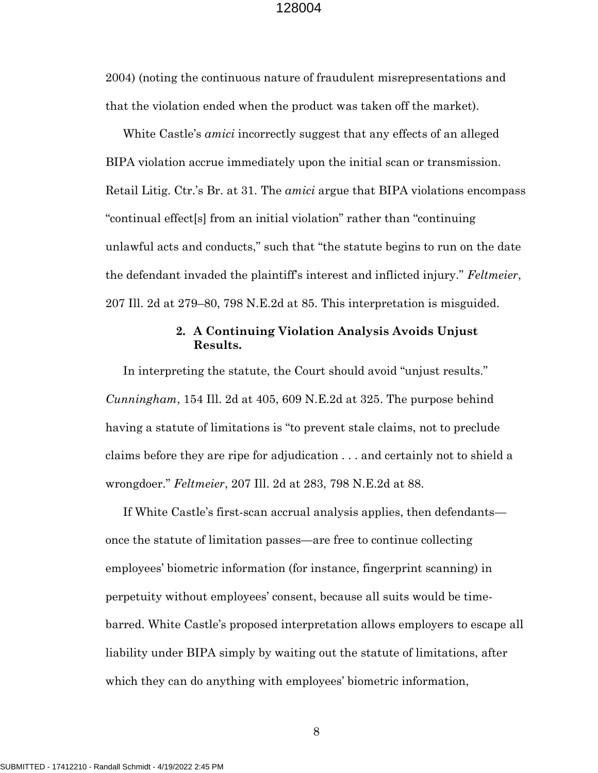2004) (noting the continuous nature of fraudulent misrepresentations and that the violation ended when the product was taken off the market).

White Castle's *amici* incorrectly suggest that any effects of an alleged BIPA violation accrue immediately upon the initial scan or transmission. Retail Litig. Ctr.'s Br. at 31. The *amici* argue that BIPA violations encompass "continual effect[s] from an initial violation" rather than "continuing unlawful acts and conducts," such that "the statute begins to run on the date the defendant invaded the plaintiff's interest and inflicted injury." *Feltmeier*, 207 Ill. 2d at 279–80, 798 N.E.2d at 85. This interpretation is misguided.

# **2. A Continuing Violation Analysis Avoids Unjust Results.**

In interpreting the statute, the Court should avoid "unjust results." *Cunningham*, 154 Ill. 2d at 405, 609 N.E.2d at 325. The purpose behind having a statute of limitations is "to prevent stale claims, not to preclude claims before they are ripe for adjudication . . . and certainly not to shield a wrongdoer." *Feltmeier*, 207 Ill. 2d at 283, 798 N.E.2d at 88.

If White Castle's first-scan accrual analysis applies, then defendants once the statute of limitation passes—are free to continue collecting employees' biometric information (for instance, fingerprint scanning) in perpetuity without employees' consent, because all suits would be timebarred. White Castle's proposed interpretation allows employers to escape all liability under BIPA simply by waiting out the statute of limitations, after which they can do anything with employees' biometric information,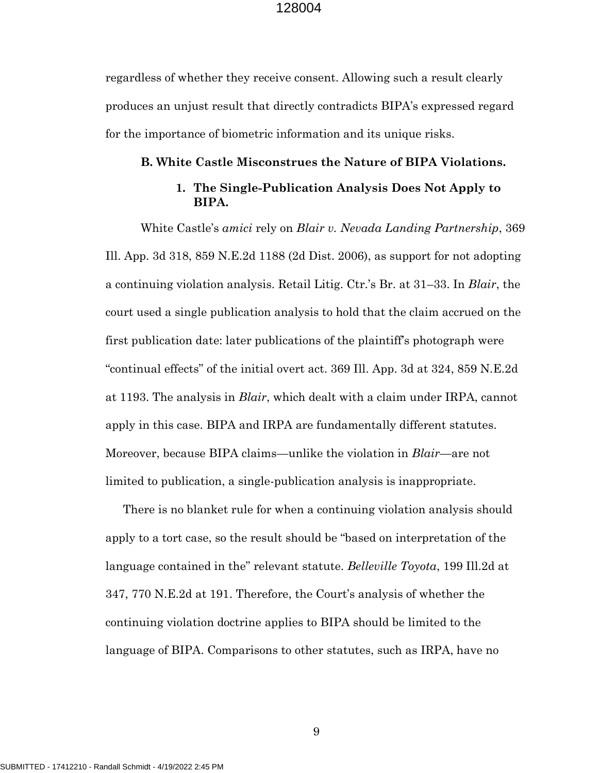regardless of whether they receive consent. Allowing such a result clearly produces an unjust result that directly contradicts BIPA's expressed regard for the importance of biometric information and its unique risks.

#### **B. White Castle Misconstrues the Nature of BIPA Violations.**

# **1. The Single-Publication Analysis Does Not Apply to BIPA.**

White Castle's *amici* rely on *Blair v. Nevada Landing Partnership*, 369 Ill. App. 3d 318, 859 N.E.2d 1188 (2d Dist. 2006), as support for not adopting a continuing violation analysis. Retail Litig. Ctr.'s Br. at 31–33. In *Blair*, the court used a single publication analysis to hold that the claim accrued on the first publication date: later publications of the plaintiff's photograph were "continual effects" of the initial overt act. 369 Ill. App. 3d at 324, 859 N.E.2d at 1193. The analysis in *Blair*, which dealt with a claim under IRPA, cannot apply in this case. BIPA and IRPA are fundamentally different statutes. Moreover, because BIPA claims—unlike the violation in *Blair*—are not limited to publication, a single-publication analysis is inappropriate.

There is no blanket rule for when a continuing violation analysis should apply to a tort case, so the result should be "based on interpretation of the language contained in the" relevant statute. *Belleville Toyota*, 199 Ill.2d at 347, 770 N.E.2d at 191. Therefore, the Court's analysis of whether the continuing violation doctrine applies to BIPA should be limited to the language of BIPA. Comparisons to other statutes, such as IRPA, have no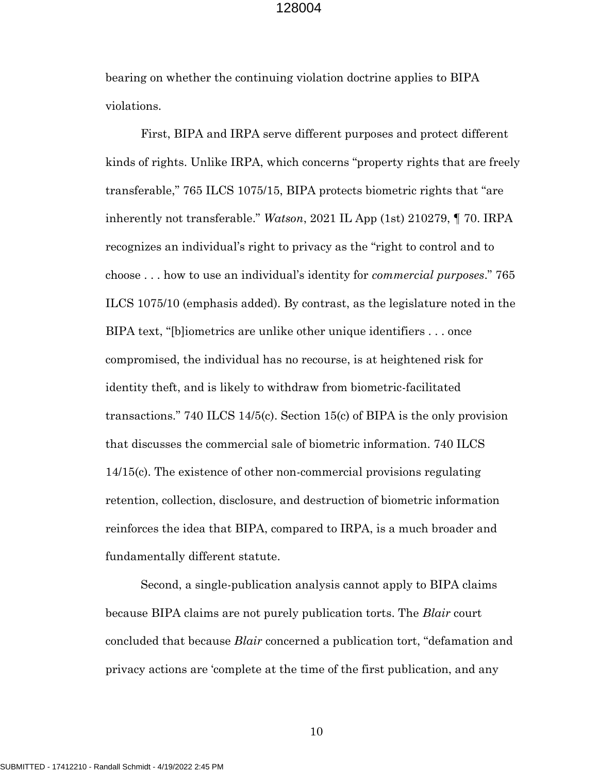bearing on whether the continuing violation doctrine applies to BIPA violations.

First, BIPA and IRPA serve different purposes and protect different kinds of rights. Unlike IRPA, which concerns "property rights that are freely transferable," 765 ILCS 1075/15, BIPA protects biometric rights that "are inherently not transferable." *Watson*, 2021 IL App (1st) 210279, ¶ 70. IRPA recognizes an individual's right to privacy as the "right to control and to choose . . . how to use an individual's identity for *commercial purposes*." 765 ILCS 1075/10 (emphasis added). By contrast, as the legislature noted in the BIPA text, "[b]iometrics are unlike other unique identifiers . . . once compromised, the individual has no recourse, is at heightened risk for identity theft, and is likely to withdraw from biometric-facilitated transactions." 740 ILCS 14/5(c). Section 15(c) of BIPA is the only provision that discusses the commercial sale of biometric information. 740 ILCS 14/15(c). The existence of other non-commercial provisions regulating retention, collection, disclosure, and destruction of biometric information reinforces the idea that BIPA, compared to IRPA, is a much broader and fundamentally different statute.

Second, a single-publication analysis cannot apply to BIPA claims because BIPA claims are not purely publication torts. The *Blair* court concluded that because *Blair* concerned a publication tort, "defamation and privacy actions are 'complete at the time of the first publication, and any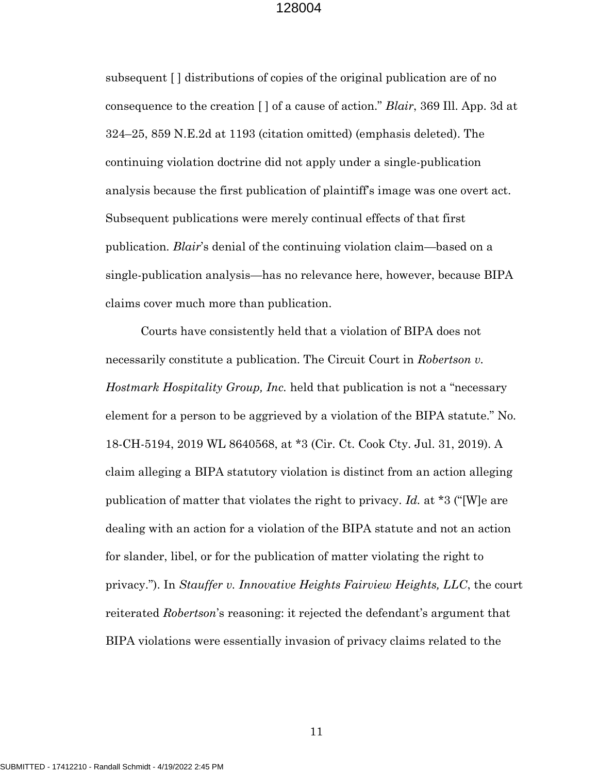subsequent [ ] distributions of copies of the original publication are of no consequence to the creation [ ] of a cause of action." *Blair*, 369 Ill. App. 3d at 324–25, 859 N.E.2d at 1193 (citation omitted) (emphasis deleted). The continuing violation doctrine did not apply under a single-publication analysis because the first publication of plaintiff's image was one overt act. Subsequent publications were merely continual effects of that first publication. *Blair*'s denial of the continuing violation claim—based on a single-publication analysis—has no relevance here, however, because BIPA claims cover much more than publication.

Courts have consistently held that a violation of BIPA does not necessarily constitute a publication. The Circuit Court in *Robertson v. Hostmark Hospitality Group, Inc.* held that publication is not a "necessary element for a person to be aggrieved by a violation of the BIPA statute." No. 18-CH-5194, 2019 WL 8640568, at \*3 (Cir. Ct. Cook Cty. Jul. 31, 2019). A claim alleging a BIPA statutory violation is distinct from an action alleging publication of matter that violates the right to privacy. *Id.* at \*3 ("[W]e are dealing with an action for a violation of the BIPA statute and not an action for slander, libel, or for the publication of matter violating the right to privacy."). In *Stauffer v. Innovative Heights Fairview Heights, LLC*, the court reiterated *Robertson*'s reasoning: it rejected the defendant's argument that BIPA violations were essentially invasion of privacy claims related to the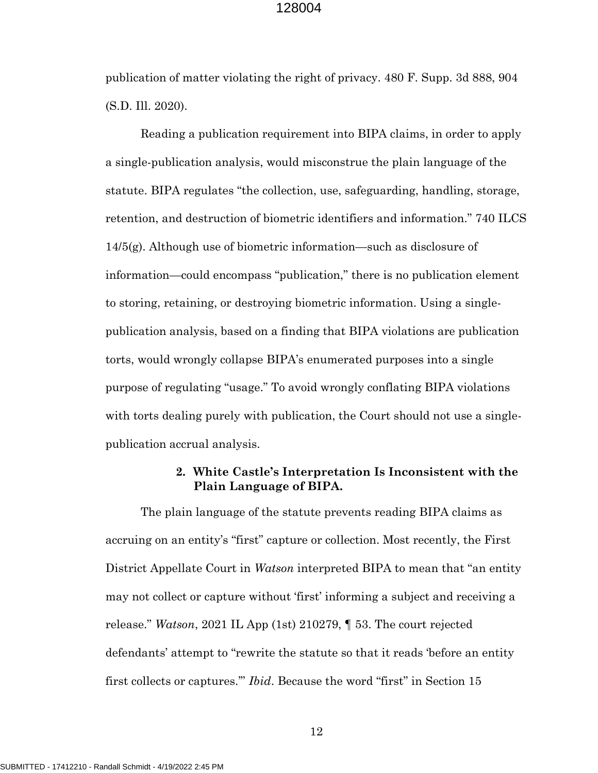publication of matter violating the right of privacy. 480 F. Supp. 3d 888, 904 (S.D. Ill. 2020).

Reading a publication requirement into BIPA claims, in order to apply a single-publication analysis, would misconstrue the plain language of the statute. BIPA regulates "the collection, use, safeguarding, handling, storage, retention, and destruction of biometric identifiers and information." 740 ILCS 14/5(g). Although use of biometric information—such as disclosure of information—could encompass "publication," there is no publication element to storing, retaining, or destroying biometric information. Using a singlepublication analysis, based on a finding that BIPA violations are publication torts, would wrongly collapse BIPA's enumerated purposes into a single purpose of regulating "usage." To avoid wrongly conflating BIPA violations with torts dealing purely with publication, the Court should not use a singlepublication accrual analysis.

# **2. White Castle's Interpretation Is Inconsistent with the Plain Language of BIPA.**

The plain language of the statute prevents reading BIPA claims as accruing on an entity's "first" capture or collection. Most recently, the First District Appellate Court in *Watson* interpreted BIPA to mean that "an entity may not collect or capture without 'first' informing a subject and receiving a release." *Watson*, 2021 IL App (1st) 210279, ¶ 53. The court rejected defendants' attempt to "rewrite the statute so that it reads 'before an entity first collects or captures.'" *Ibid*. Because the word "first" in Section 15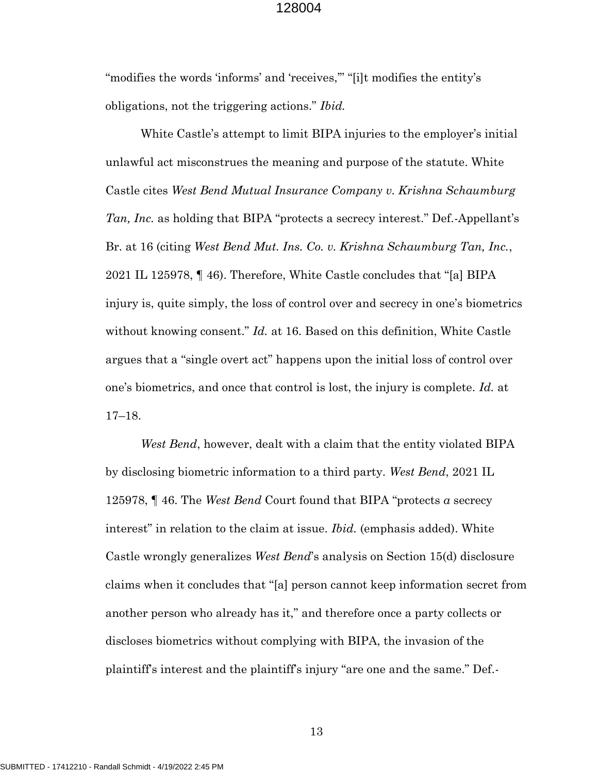"modifies the words 'informs' and 'receives," "[i]t modifies the entity's obligations, not the triggering actions." *Ibid.*

White Castle's attempt to limit BIPA injuries to the employer's initial unlawful act misconstrues the meaning and purpose of the statute. White Castle cites *West Bend Mutual Insurance Company v. Krishna Schaumburg Tan, Inc.* as holding that BIPA "protects a secrecy interest." Def.-Appellant's Br. at 16 (citing *West Bend Mut. Ins. Co. v. Krishna Schaumburg Tan, Inc.*, 2021 IL 125978, ¶ 46). Therefore, White Castle concludes that "[a] BIPA injury is, quite simply, the loss of control over and secrecy in one's biometrics without knowing consent." *Id.* at 16. Based on this definition, White Castle argues that a "single overt act" happens upon the initial loss of control over one's biometrics, and once that control is lost, the injury is complete. *Id.* at 17–18.

*West Bend*, however, dealt with a claim that the entity violated BIPA by disclosing biometric information to a third party. *West Bend*, 2021 IL 125978, ¶ 46. The *West Bend* Court found that BIPA "protects *a* secrecy interest" in relation to the claim at issue. *Ibid.* (emphasis added). White Castle wrongly generalizes *West Bend*'s analysis on Section 15(d) disclosure claims when it concludes that "[a] person cannot keep information secret from another person who already has it," and therefore once a party collects or discloses biometrics without complying with BIPA, the invasion of the plaintiff's interest and the plaintiff's injury "are one and the same." Def.-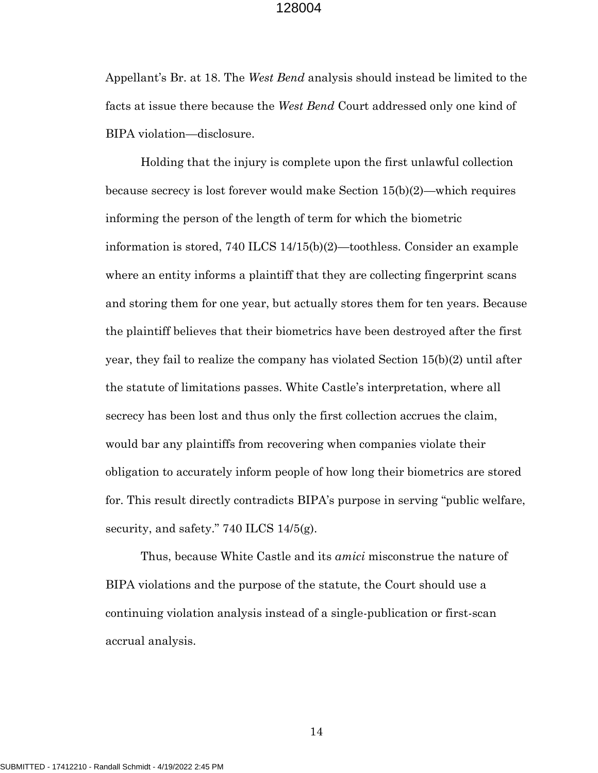Appellant's Br. at 18. The *West Bend* analysis should instead be limited to the facts at issue there because the *West Bend* Court addressed only one kind of BIPA violation—disclosure.

Holding that the injury is complete upon the first unlawful collection because secrecy is lost forever would make Section 15(b)(2)—which requires informing the person of the length of term for which the biometric information is stored, 740 ILCS 14/15(b)(2)—toothless. Consider an example where an entity informs a plaintiff that they are collecting fingerprint scans and storing them for one year, but actually stores them for ten years. Because the plaintiff believes that their biometrics have been destroyed after the first year, they fail to realize the company has violated Section 15(b)(2) until after the statute of limitations passes. White Castle's interpretation, where all secrecy has been lost and thus only the first collection accrues the claim, would bar any plaintiffs from recovering when companies violate their obligation to accurately inform people of how long their biometrics are stored for. This result directly contradicts BIPA's purpose in serving "public welfare, security, and safety." 740 ILCS 14/5(g).

Thus, because White Castle and its *amici* misconstrue the nature of BIPA violations and the purpose of the statute, the Court should use a continuing violation analysis instead of a single-publication or first-scan accrual analysis.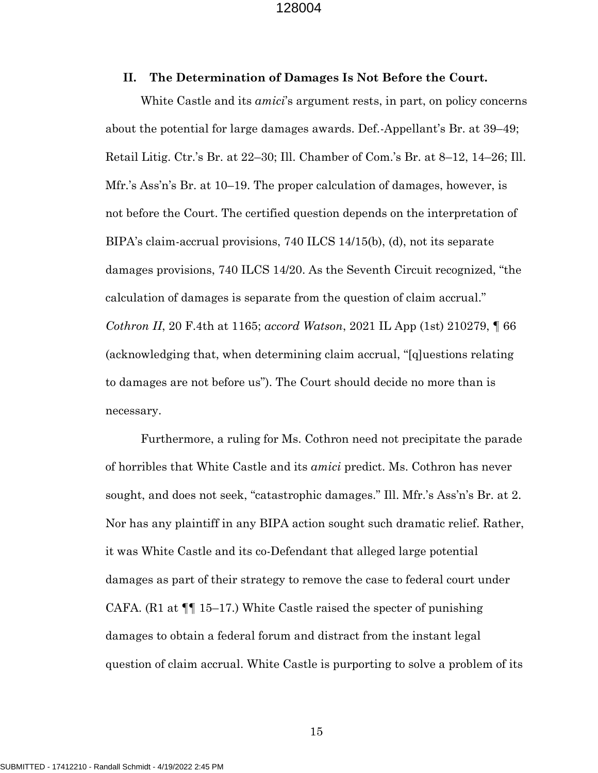#### **II. The Determination of Damages Is Not Before the Court.**

White Castle and its *amici*'s argument rests, in part, on policy concerns about the potential for large damages awards. Def.-Appellant's Br. at 39–49; Retail Litig. Ctr.'s Br. at 22–30; Ill. Chamber of Com.'s Br. at 8–12, 14–26; Ill. Mfr.'s Ass'n's Br. at 10–19. The proper calculation of damages, however, is not before the Court. The certified question depends on the interpretation of BIPA's claim-accrual provisions, 740 ILCS 14/15(b), (d), not its separate damages provisions, 740 ILCS 14/20. As the Seventh Circuit recognized, "the calculation of damages is separate from the question of claim accrual." *Cothron II*, 20 F.4th at 1165; *accord Watson*, 2021 IL App (1st) 210279, ¶ 66 (acknowledging that, when determining claim accrual, "[q]uestions relating to damages are not before us"). The Court should decide no more than is necessary.

Furthermore, a ruling for Ms. Cothron need not precipitate the parade of horribles that White Castle and its *amici* predict. Ms. Cothron has never sought, and does not seek, "catastrophic damages." Ill. Mfr.'s Ass'n's Br. at 2. Nor has any plaintiff in any BIPA action sought such dramatic relief. Rather, it was White Castle and its co-Defendant that alleged large potential damages as part of their strategy to remove the case to federal court under CAFA. (R1 at  $\P$  15–17.) White Castle raised the specter of punishing damages to obtain a federal forum and distract from the instant legal question of claim accrual. White Castle is purporting to solve a problem of its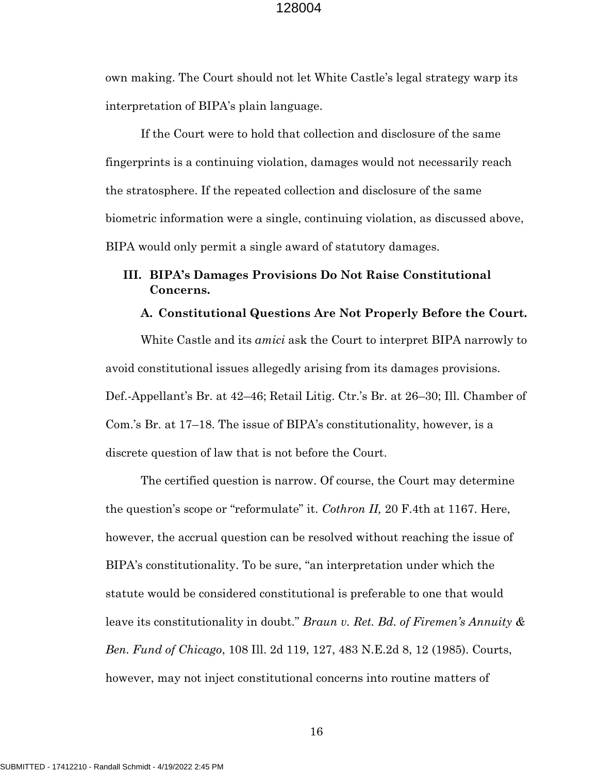own making. The Court should not let White Castle's legal strategy warp its interpretation of BIPA's plain language.

If the Court were to hold that collection and disclosure of the same fingerprints is a continuing violation, damages would not necessarily reach the stratosphere. If the repeated collection and disclosure of the same biometric information were a single, continuing violation, as discussed above, BIPA would only permit a single award of statutory damages.

# **III. BIPA's Damages Provisions Do Not Raise Constitutional Concerns.**

### **A. Constitutional Questions Are Not Properly Before the Court.**

White Castle and its *amici* ask the Court to interpret BIPA narrowly to avoid constitutional issues allegedly arising from its damages provisions. Def.-Appellant's Br. at 42–46; Retail Litig. Ctr.'s Br. at 26–30; Ill. Chamber of Com.'s Br. at 17–18. The issue of BIPA's constitutionality, however, is a discrete question of law that is not before the Court.

The certified question is narrow. Of course, the Court may determine the question's scope or "reformulate" it. *Cothron II,* 20 F.4th at 1167. Here, however, the accrual question can be resolved without reaching the issue of BIPA's constitutionality. To be sure, "an interpretation under which the statute would be considered constitutional is preferable to one that would leave its constitutionality in doubt." *Braun v. Ret. Bd. of Firemen's Annuity & Ben. Fund of Chicago*, 108 Ill. 2d 119, 127, 483 N.E.2d 8, 12 (1985). Courts, however, may not inject constitutional concerns into routine matters of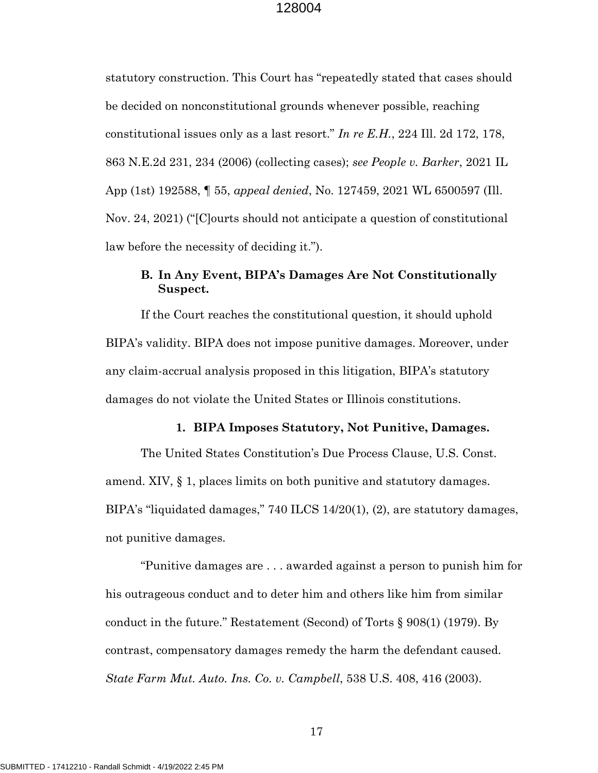statutory construction. This Court has "repeatedly stated that cases should be decided on nonconstitutional grounds whenever possible, reaching constitutional issues only as a last resort." *In re E.H.*, 224 Ill. 2d 172, 178, 863 N.E.2d 231, 234 (2006) (collecting cases); *see People v. Barker*, 2021 IL App (1st) 192588, ¶ 55, *appeal denied*, No. 127459, 2021 WL 6500597 (Ill. Nov. 24, 2021) ("[C]ourts should not anticipate a question of constitutional law before the necessity of deciding it.").

# **B. In Any Event, BIPA's Damages Are Not Constitutionally Suspect.**

If the Court reaches the constitutional question, it should uphold BIPA's validity. BIPA does not impose punitive damages. Moreover, under any claim-accrual analysis proposed in this litigation, BIPA's statutory damages do not violate the United States or Illinois constitutions.

#### **1. BIPA Imposes Statutory, Not Punitive, Damages.**

The United States Constitution's Due Process Clause, U.S. Const. amend. XIV, § 1, places limits on both punitive and statutory damages. BIPA's "liquidated damages," 740 ILCS 14/20(1), (2), are statutory damages, not punitive damages.

"Punitive damages are . . . awarded against a person to punish him for his outrageous conduct and to deter him and others like him from similar conduct in the future." Restatement (Second) of Torts § 908(1) (1979). By contrast, compensatory damages remedy the harm the defendant caused. *State Farm Mut. Auto. Ins. Co. v. Campbell*, 538 U.S. 408, 416 (2003).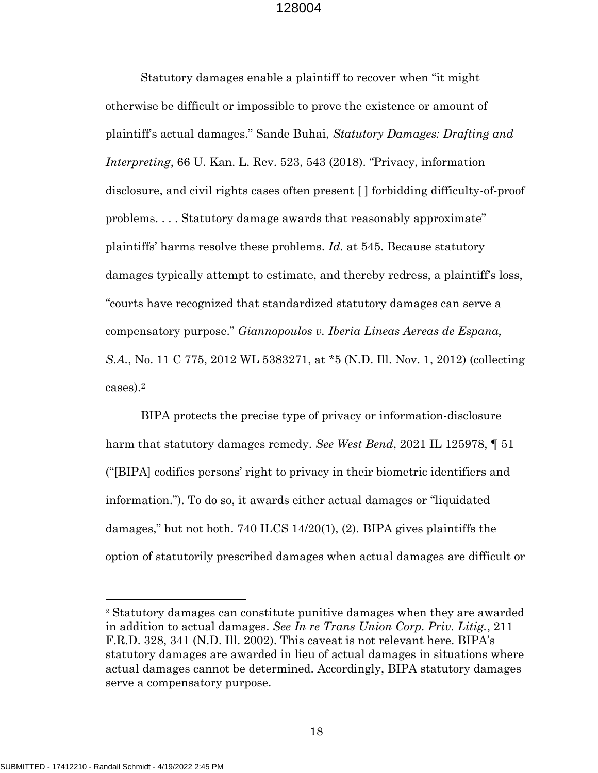Statutory damages enable a plaintiff to recover when "it might otherwise be difficult or impossible to prove the existence or amount of plaintiff's actual damages." Sande Buhai, *Statutory Damages: Drafting and Interpreting*, 66 U. Kan. L. Rev. 523, 543 (2018). "Privacy, information disclosure, and civil rights cases often present [ ] forbidding difficulty-of-proof problems. . . . Statutory damage awards that reasonably approximate" plaintiffs' harms resolve these problems. *Id.* at 545. Because statutory damages typically attempt to estimate, and thereby redress, a plaintiff's loss, "courts have recognized that standardized statutory damages can serve a compensatory purpose." *Giannopoulos v. Iberia Lineas Aereas de Espana, S.A.*, No. 11 C 775, 2012 WL 5383271, at \*5 (N.D. Ill. Nov. 1, 2012) (collecting cases).<sup>2</sup>

BIPA protects the precise type of privacy or information-disclosure harm that statutory damages remedy. *See West Bend*, 2021 IL 125978, ¶ 51 ("[BIPA] codifies persons' right to privacy in their biometric identifiers and information."). To do so, it awards either actual damages or "liquidated damages," but not both. 740 ILCS 14/20(1), (2). BIPA gives plaintiffs the option of statutorily prescribed damages when actual damages are difficult or

 $\overline{a}$ 

<sup>2</sup> Statutory damages can constitute punitive damages when they are awarded in addition to actual damages. *See In re Trans Union Corp. Priv. Litig.*, 211 F.R.D. 328, 341 (N.D. Ill. 2002). This caveat is not relevant here. BIPA's statutory damages are awarded in lieu of actual damages in situations where actual damages cannot be determined. Accordingly, BIPA statutory damages serve a compensatory purpose.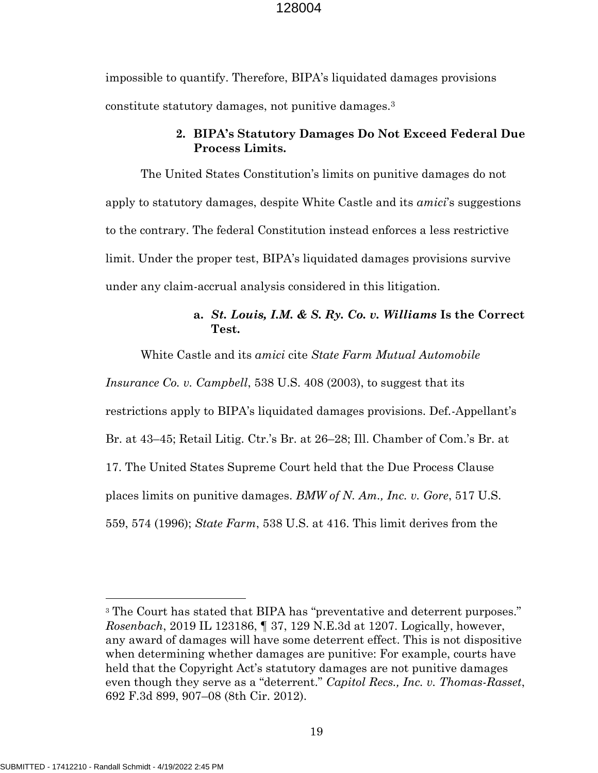impossible to quantify. Therefore, BIPA's liquidated damages provisions constitute statutory damages, not punitive damages.<sup>3</sup>

# **2. BIPA's Statutory Damages Do Not Exceed Federal Due Process Limits.**

The United States Constitution's limits on punitive damages do not apply to statutory damages, despite White Castle and its *amici*'s suggestions to the contrary. The federal Constitution instead enforces a less restrictive limit. Under the proper test, BIPA's liquidated damages provisions survive under any claim-accrual analysis considered in this litigation.

# **a.** *St. Louis, I.M. & S. Ry. Co. v. Williams* **Is the Correct Test.**

White Castle and its *amici* cite *State Farm Mutual Automobile* 

*Insurance Co. v. Campbell*, 538 U.S. 408 (2003), to suggest that its restrictions apply to BIPA's liquidated damages provisions. Def.-Appellant's Br. at 43–45; Retail Litig. Ctr.'s Br. at 26–28; Ill. Chamber of Com.'s Br. at 17. The United States Supreme Court held that the Due Process Clause places limits on punitive damages. *BMW of N. Am., Inc. v. Gore*, 517 U.S. 559, 574 (1996); *State Farm*, 538 U.S. at 416. This limit derives from the

 $\overline{a}$ 

<sup>&</sup>lt;sup>3</sup> The Court has stated that BIPA has "preventative and deterrent purposes." *Rosenbach*, 2019 IL 123186, ¶ 37, 129 N.E.3d at 1207. Logically, however, any award of damages will have some deterrent effect. This is not dispositive when determining whether damages are punitive: For example, courts have held that the Copyright Act's statutory damages are not punitive damages even though they serve as a "deterrent." *Capitol Recs., Inc. v. Thomas-Rasset*, 692 F.3d 899, 907–08 (8th Cir. 2012).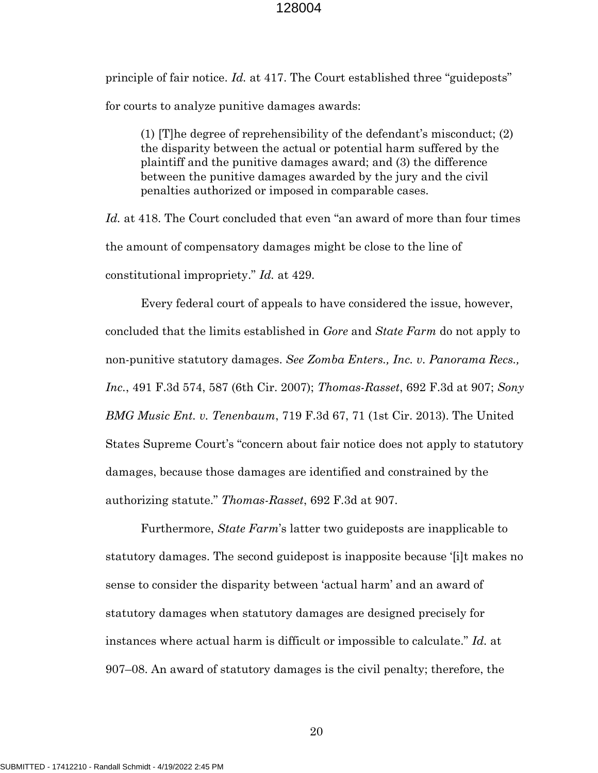principle of fair notice. *Id.* at 417. The Court established three "guideposts" for courts to analyze punitive damages awards:

(1) [T]he degree of reprehensibility of the defendant's misconduct; (2) the disparity between the actual or potential harm suffered by the plaintiff and the punitive damages award; and (3) the difference between the punitive damages awarded by the jury and the civil penalties authorized or imposed in comparable cases.

*Id.* at 418. The Court concluded that even "an award of more than four times the amount of compensatory damages might be close to the line of constitutional impropriety." *Id.* at 429.

Every federal court of appeals to have considered the issue, however, concluded that the limits established in *Gore* and *State Farm* do not apply to non-punitive statutory damages. *See Zomba Enters., Inc. v. Panorama Recs., Inc.*, 491 F.3d 574, 587 (6th Cir. 2007); *Thomas-Rasset*, 692 F.3d at 907; *Sony BMG Music Ent. v. Tenenbaum*, 719 F.3d 67, 71 (1st Cir. 2013). The United States Supreme Court's "concern about fair notice does not apply to statutory damages, because those damages are identified and constrained by the authorizing statute." *Thomas-Rasset*, 692 F.3d at 907.

Furthermore, *State Farm*'s latter two guideposts are inapplicable to statutory damages. The second guidepost is inapposite because '[i]t makes no sense to consider the disparity between 'actual harm' and an award of statutory damages when statutory damages are designed precisely for instances where actual harm is difficult or impossible to calculate." *Id.* at 907–08. An award of statutory damages is the civil penalty; therefore, the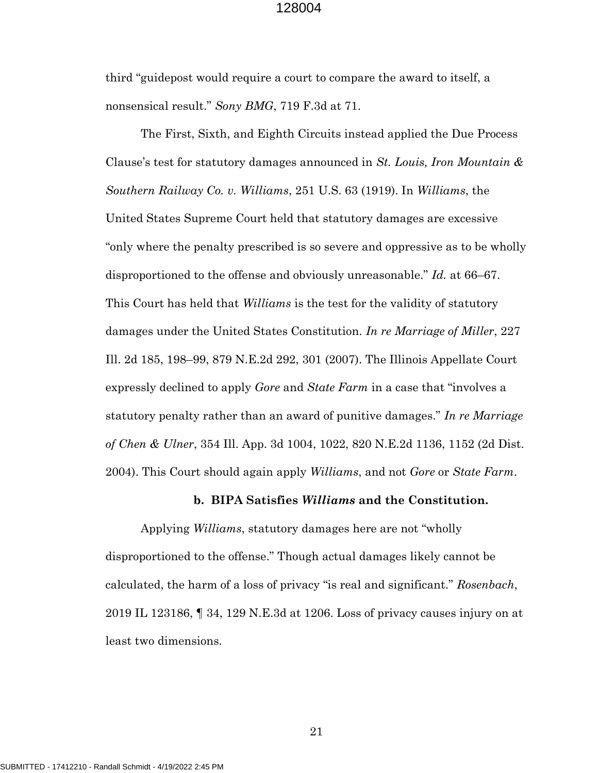third "guidepost would require a court to compare the award to itself, a nonsensical result." *Sony BMG*, 719 F.3d at 71.

The First, Sixth, and Eighth Circuits instead applied the Due Process Clause's test for statutory damages announced in *St. Louis, Iron Mountain & Southern Railway Co. v. Williams*, 251 U.S. 63 (1919). In *Williams*, the United States Supreme Court held that statutory damages are excessive "only where the penalty prescribed is so severe and oppressive as to be wholly disproportioned to the offense and obviously unreasonable." *Id.* at 66–67. This Court has held that *Williams* is the test for the validity of statutory damages under the United States Constitution. *In re Marriage of Miller*, 227 Ill. 2d 185, 198–99, 879 N.E.2d 292, 301 (2007). The Illinois Appellate Court expressly declined to apply *Gore* and *State Farm* in a case that "involves a statutory penalty rather than an award of punitive damages." *In re Marriage of Chen & Ulner*, 354 Ill. App. 3d 1004, 1022, 820 N.E.2d 1136, 1152 (2d Dist. 2004). This Court should again apply *Williams*, and not *Gore* or *State Farm*.

#### **b. BIPA Satisfies** *Williams* **and the Constitution.**

Applying *Williams*, statutory damages here are not "wholly disproportioned to the offense." Though actual damages likely cannot be calculated, the harm of a loss of privacy "is real and significant." *Rosenbach*, 2019 IL 123186, ¶ 34, 129 N.E.3d at 1206. Loss of privacy causes injury on at least two dimensions.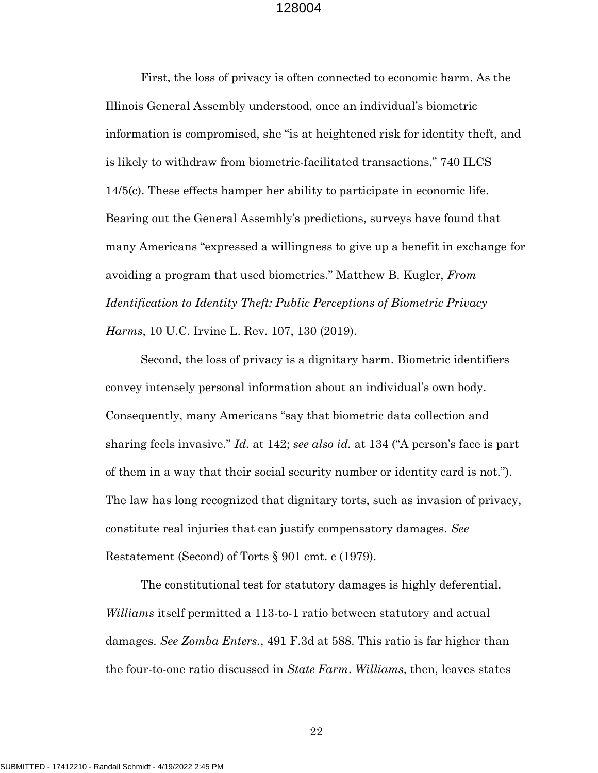First, the loss of privacy is often connected to economic harm. As the Illinois General Assembly understood, once an individual's biometric information is compromised, she "is at heightened risk for identity theft, and is likely to withdraw from biometric-facilitated transactions," 740 ILCS 14/5(c). These effects hamper her ability to participate in economic life. Bearing out the General Assembly's predictions, surveys have found that many Americans "expressed a willingness to give up a benefit in exchange for avoiding a program that used biometrics." Matthew B. Kugler, *From Identification to Identity Theft: Public Perceptions of Biometric Privacy Harms*, 10 U.C. Irvine L. Rev. 107, 130 (2019).

Second, the loss of privacy is a dignitary harm. Biometric identifiers convey intensely personal information about an individual's own body. Consequently, many Americans "say that biometric data collection and sharing feels invasive." *Id.* at 142; *see also id.* at 134 ("A person's face is part of them in a way that their social security number or identity card is not."). The law has long recognized that dignitary torts, such as invasion of privacy, constitute real injuries that can justify compensatory damages. *See*  Restatement (Second) of Torts § 901 cmt. c (1979).

The constitutional test for statutory damages is highly deferential. *Williams* itself permitted a 113-to-1 ratio between statutory and actual damages. *See Zomba Enters.*, 491 F.3d at 588. This ratio is far higher than the four-to-one ratio discussed in *State Farm*. *Williams*, then, leaves states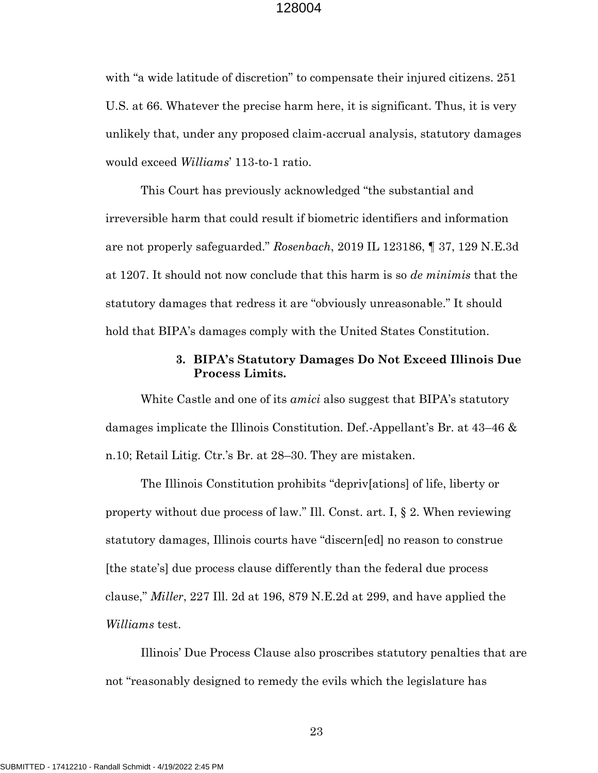with "a wide latitude of discretion" to compensate their injured citizens. 251 U.S. at 66. Whatever the precise harm here, it is significant. Thus, it is very unlikely that, under any proposed claim-accrual analysis, statutory damages would exceed *Williams*' 113-to-1 ratio.

This Court has previously acknowledged "the substantial and irreversible harm that could result if biometric identifiers and information are not properly safeguarded." *Rosenbach*, 2019 IL 123186, ¶ 37, 129 N.E.3d at 1207. It should not now conclude that this harm is so *de minimis* that the statutory damages that redress it are "obviously unreasonable." It should hold that BIPA's damages comply with the United States Constitution.

# **3. BIPA's Statutory Damages Do Not Exceed Illinois Due Process Limits.**

White Castle and one of its *amici* also suggest that BIPA's statutory damages implicate the Illinois Constitution. Def.-Appellant's Br. at 43–46 & n.10; Retail Litig. Ctr.'s Br. at 28–30. They are mistaken.

The Illinois Constitution prohibits "depriv[ations] of life, liberty or property without due process of law." Ill. Const. art. I, § 2. When reviewing statutory damages, Illinois courts have "discern[ed] no reason to construe [the state's] due process clause differently than the federal due process clause," *Miller*, 227 Ill. 2d at 196, 879 N.E.2d at 299, and have applied the *Williams* test.

Illinois' Due Process Clause also proscribes statutory penalties that are not "reasonably designed to remedy the evils which the legislature has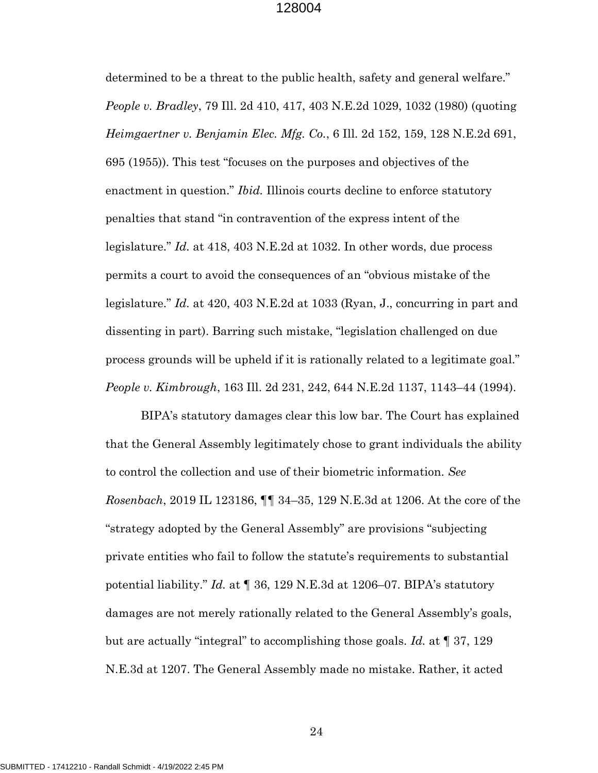determined to be a threat to the public health, safety and general welfare." *People v. Bradley*, 79 Ill. 2d 410, 417, 403 N.E.2d 1029, 1032 (1980) (quoting *Heimgaertner v. Benjamin Elec. Mfg. Co.*, 6 Ill. 2d 152, 159, 128 N.E.2d 691, 695 (1955)). This test "focuses on the purposes and objectives of the enactment in question." *Ibid.* Illinois courts decline to enforce statutory penalties that stand "in contravention of the express intent of the legislature." *Id.* at 418, 403 N.E.2d at 1032. In other words, due process permits a court to avoid the consequences of an "obvious mistake of the legislature." *Id.* at 420, 403 N.E.2d at 1033 (Ryan, J., concurring in part and dissenting in part). Barring such mistake, "legislation challenged on due process grounds will be upheld if it is rationally related to a legitimate goal." *People v. Kimbrough*, 163 Ill. 2d 231, 242, 644 N.E.2d 1137, 1143–44 (1994).

BIPA's statutory damages clear this low bar. The Court has explained that the General Assembly legitimately chose to grant individuals the ability to control the collection and use of their biometric information. *See Rosenbach*, 2019 IL 123186, ¶¶ 34–35, 129 N.E.3d at 1206. At the core of the "strategy adopted by the General Assembly" are provisions "subjecting private entities who fail to follow the statute's requirements to substantial potential liability." *Id.* at ¶ 36, 129 N.E.3d at 1206–07. BIPA's statutory damages are not merely rationally related to the General Assembly's goals, but are actually "integral" to accomplishing those goals. *Id.* at ¶ 37, 129 N.E.3d at 1207. The General Assembly made no mistake. Rather, it acted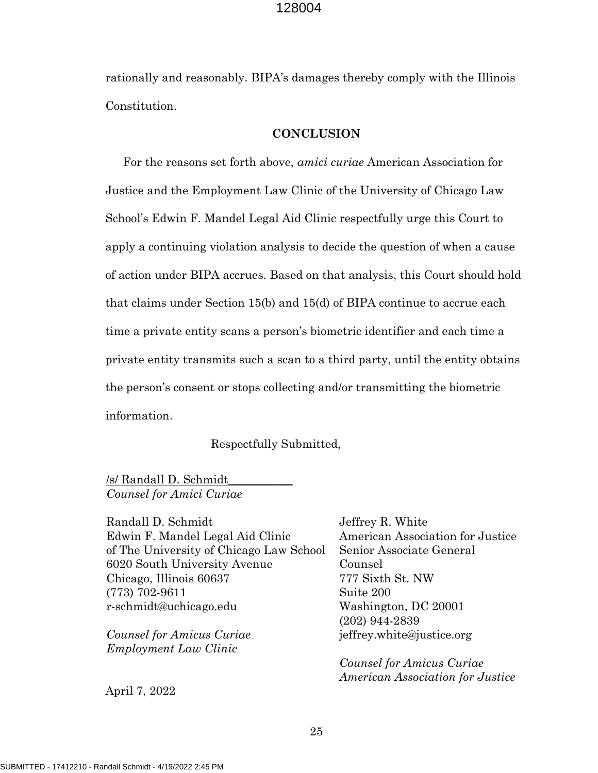rationally and reasonably. BIPA's damages thereby comply with the Illinois Constitution.

#### **CONCLUSION**

For the reasons set forth above, *amici curiae* American Association for Justice and the Employment Law Clinic of the University of Chicago Law School's Edwin F. Mandel Legal Aid Clinic respectfully urge this Court to apply a continuing violation analysis to decide the question of when a cause of action under BIPA accrues. Based on that analysis, this Court should hold that claims under Section 15(b) and 15(d) of BIPA continue to accrue each time a private entity scans a person's biometric identifier and each time a private entity transmits such a scan to a third party, until the entity obtains the person's consent or stops collecting and/or transmitting the biometric information.

Respectfully Submitted,

/s/ Randall D. Schmidt\_\_\_\_\_\_\_\_\_\_\_ *Counsel for Amici Curiae*

Randall D. Schmidt Edwin F. Mandel Legal Aid Clinic of The University of Chicago Law School 6020 South University Avenue Chicago, Illinois 60637 (773) 702-9611 r-schmidt@uchicago.edu

*Counsel for Amicus Curiae Employment Law Clinic*

April 7, 2022

Jeffrey R. White American Association for Justice Senior Associate General Counsel 777 Sixth St. NW Suite 200 Washington, DC 20001 (202) 944-2839 jeffrey.white@justice.org

*Counsel for Amicus Curiae American Association for Justice*